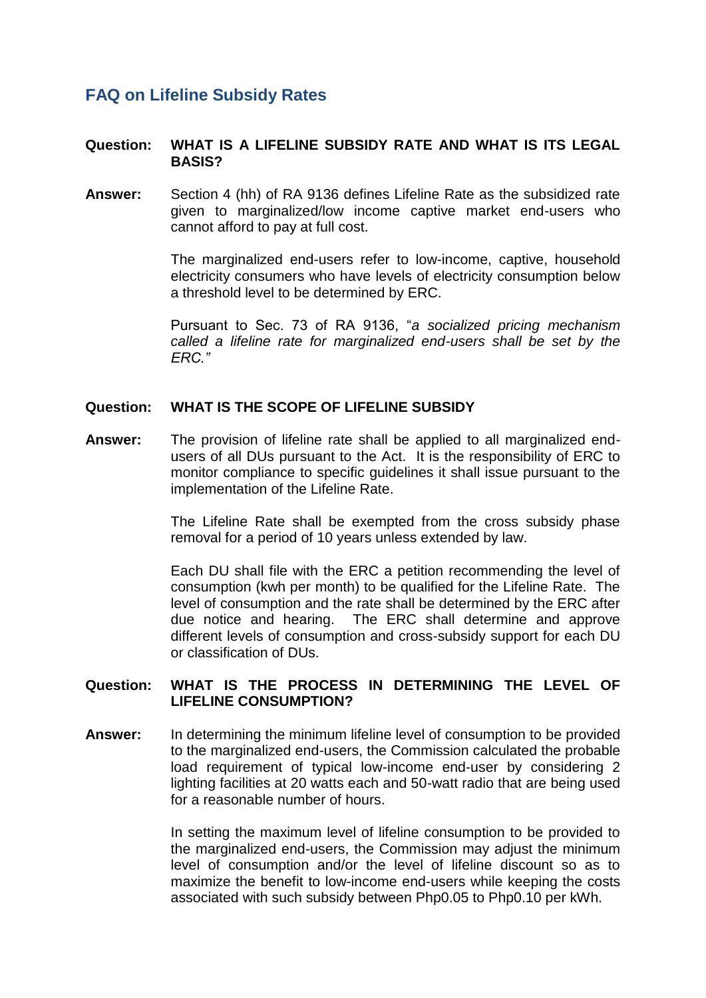# **FAQ on Lifeline Subsidy Rates**

## **Question: WHAT IS A LIFELINE SUBSIDY RATE AND WHAT IS ITS LEGAL BASIS?**

**Answer:** Section 4 (hh) of RA 9136 defines Lifeline Rate as the subsidized rate given to marginalized/low income captive market end-users who cannot afford to pay at full cost.

> The marginalized end-users refer to low-income, captive, household electricity consumers who have levels of electricity consumption below a threshold level to be determined by ERC.

> Pursuant to Sec. 73 of RA 9136, "*a socialized pricing mechanism called a lifeline rate for marginalized end-users shall be set by the ERC."*

#### **Question: WHAT IS THE SCOPE OF LIFELINE SUBSIDY**

**Answer:** The provision of lifeline rate shall be applied to all marginalized endusers of all DUs pursuant to the Act. It is the responsibility of ERC to monitor compliance to specific guidelines it shall issue pursuant to the implementation of the Lifeline Rate.

> The Lifeline Rate shall be exempted from the cross subsidy phase removal for a period of 10 years unless extended by law.

> Each DU shall file with the ERC a petition recommending the level of consumption (kwh per month) to be qualified for the Lifeline Rate. The level of consumption and the rate shall be determined by the ERC after due notice and hearing. The ERC shall determine and approve different levels of consumption and cross-subsidy support for each DU or classification of DUs.

## **Question: WHAT IS THE PROCESS IN DETERMINING THE LEVEL OF LIFELINE CONSUMPTION?**

**Answer:** In determining the minimum lifeline level of consumption to be provided to the marginalized end-users, the Commission calculated the probable load requirement of typical low-income end-user by considering 2 lighting facilities at 20 watts each and 50-watt radio that are being used for a reasonable number of hours.

> In setting the maximum level of lifeline consumption to be provided to the marginalized end-users, the Commission may adjust the minimum level of consumption and/or the level of lifeline discount so as to maximize the benefit to low-income end-users while keeping the costs associated with such subsidy between Php0.05 to Php0.10 per kWh.